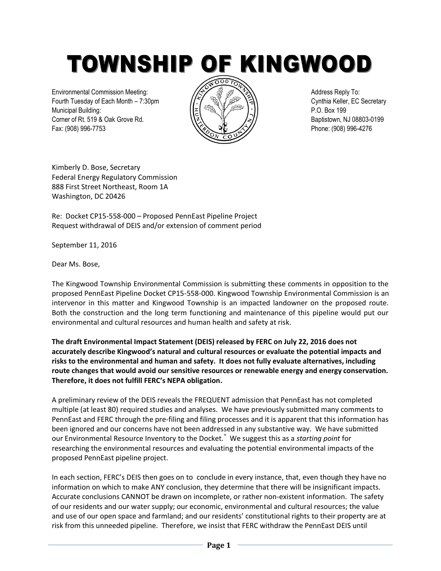TOWNSHIP OF KINGWOOD

Environmental Commission Meeting:  $\sqrt{\Leftrightarrow}$   $\sqrt{\Leftrightarrow}$   $\sqrt{\Leftrightarrow}$   $\sqrt{\Leftrightarrow}$  Address Reply To: Fourth Tuesday of Each Month – 7:30pm  $\sqrt{2}$   $\sqrt{2}$   $\sqrt{3}$   $\sqrt{2}$   $\sqrt{3}$  Cynthia Keller, EC Secretary Municipal Building: P.O. Box 199 Corner of Rt. 519 & Oak Grove Rd.  $\sqrt{2}$   $\sqrt{2}$   $\sqrt{2}$   $\sqrt{2}$  Baptistown, NJ 08803-0199 Fax: (908) 996-7753 **Phone: (908) 996-4276** 



Kimberly D. Bose, Secretary Federal Energy Regulatory Commission 888 First Street Northeast, Room 1A Washington, DC 20426

Re: Docket CP15-558-000 – Proposed PennEast Pipeline Project Request withdrawal of DEIS and/or extension of comment period

September 11, 2016

Dear Ms. Bose,

The Kingwood Township Environmental Commission is submitting these comments in opposition to the proposed PennEast Pipeline Docket CP15-558-000. Kingwood Township Environmental Commission is an intervenor in this matter and Kingwood Township is an impacted landowner on the proposed route. Both the construction and the long term functioning and maintenance of this pipeline would put our environmental and cultural resources and human health and safety at risk.

**The draft Environmental Impact Statement (DEIS) released by FERC on July 22, 2016 does not accurately describe Kingwood's natural and cultural resources or evaluate the potential impacts and risks to the environmental and human and safety. It does not fully evaluate alternatives, including route changes that would avoid our sensitive resources or renewable energy and energy conservation. Therefore, it does not fulfill FERC's NEPA obligation.** 

A preliminary review of the DEIS reveals the FREQUENT admission that PennEast has not completed multiple (at least 80) required studies and analyses. We have previously submitted many comments to PennEast and FERC through the pre-filing and filing processes and it is apparent that this information has been ignored and our concerns have not been addressed in any substantive way. We have submitted our Environmental Resource Inventory to the Docket.\* We suggest this as a *starting point* for researching the environmental resources and evaluating the potential environmental impacts of the proposed PennEast pipeline project.

In each section, FERC's DEIS then goes on to conclude in every instance, that, even though they have no information on which to make ANY conclusion, they determine that there will be insignificant impacts. Accurate conclusions CANNOT be drawn on incomplete, or rather non-existent information. The safety of our residents and our water supply; our economic, environmental and cultural resources; the value and use of our open space and farmland; and our residents' constitutional rights to their property are at risk from this unneeded pipeline. Therefore, we insist that FERC withdraw the PennEast DEIS until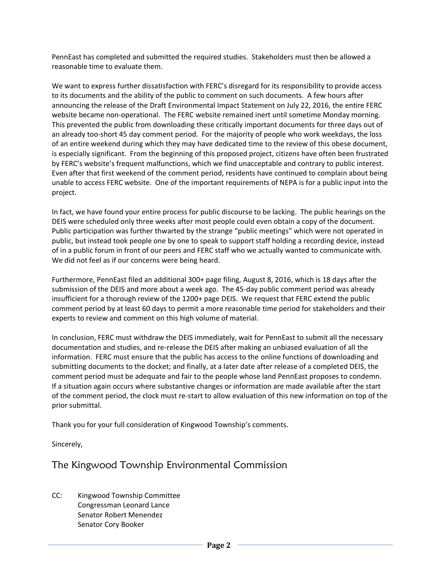PennEast has completed and submitted the required studies. Stakeholders must then be allowed a reasonable time to evaluate them.

We want to express further dissatisfaction with FERC's disregard for its responsibility to provide access to its documents and the ability of the public to comment on such documents. A few hours after announcing the release of the Draft Environmental Impact Statement on July 22, 2016, the entire FERC website became non-operational. The FERC website remained inert until sometime Monday morning. This prevented the public from downloading these critically important documents for three days out of an already too-short 45 day comment period. For the majority of people who work weekdays, the loss of an entire weekend during which they may have dedicated time to the review of this obese document, is especially significant. From the beginning of this proposed project, citizens have often been frustrated by FERC's website's frequent malfunctions, which we find unacceptable and contrary to public interest. Even after that first weekend of the comment period, residents have continued to complain about being unable to access FERC website. One of the important requirements of NEPA is for a public input into the project.

In fact, we have found your entire process for public discourse to be lacking. The public hearings on the DEIS were scheduled only three weeks after most people could even obtain a copy of the document. Public participation was further thwarted by the strange "public meetings" which were not operated in public, but instead took people one by one to speak to support staff holding a recording device, instead of in a public forum in front of our peers and FERC staff who we actually wanted to communicate with. We did not feel as if our concerns were being heard.

Furthermore, PennEast filed an additional 300+ page filing, August 8, 2016, which is 18 days after the submission of the DEIS and more about a week ago. The 45-day public comment period was already insufficient for a thorough review of the 1200+ page DEIS. We request that FERC extend the public comment period by at least 60 days to permit a more reasonable time period for stakeholders and their experts to review and comment on this high volume of material.

In conclusion, FERC must withdraw the DEIS immediately, wait for PennEast to submit all the necessary documentation and studies, and re-release the DEIS after making an unbiased evaluation of all the information. FERC must ensure that the public has access to the online functions of downloading and submitting documents to the docket; and finally, at a later date after release of a completed DEIS, the comment period must be adequate and fair to the people whose land PennEast proposes to condemn. If a situation again occurs where substantive changes or information are made available after the start of the comment period, the clock must re-start to allow evaluation of this new information on top of the prior submittal.

Thank you for your full consideration of Kingwood Township's comments.

Sincerely,

## The Kingwood Township Environmental Commission

CC: Kingwood Township Committee Congressman Leonard Lance Senator Robert Menendez Senator Cory Booker